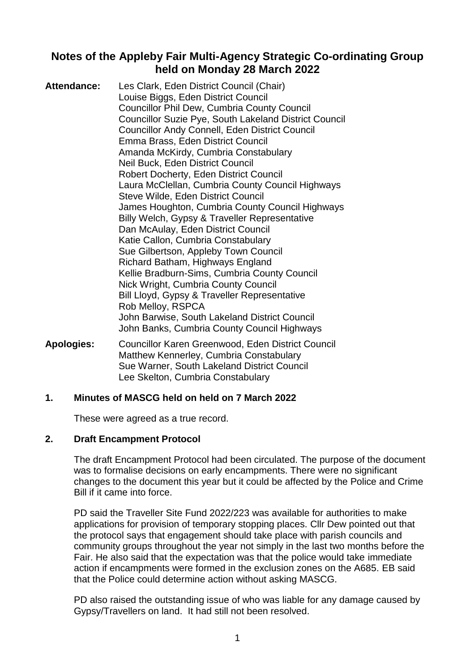# **Notes of the Appleby Fair Multi-Agency Strategic Co-ordinating Group held on Monday 28 March 2022**

| Attendance: | Les Clark, Eden District Council (Chair)<br>Louise Biggs, Eden District Council |
|-------------|---------------------------------------------------------------------------------|
|             | <b>Councillor Phil Dew, Cumbria County Council</b>                              |
|             | <b>Councillor Suzie Pye, South Lakeland District Council</b>                    |
|             | <b>Councillor Andy Connell, Eden District Council</b>                           |
|             | Emma Brass, Eden District Council                                               |
|             | Amanda McKirdy, Cumbria Constabulary                                            |
|             | Neil Buck, Eden District Council                                                |
|             | <b>Robert Docherty, Eden District Council</b>                                   |
|             | Laura McClellan, Cumbria County Council Highways                                |
|             | Steve Wilde, Eden District Council                                              |
|             | James Houghton, Cumbria County Council Highways                                 |
|             | Billy Welch, Gypsy & Traveller Representative                                   |
|             | Dan McAulay, Eden District Council                                              |
|             | Katie Callon, Cumbria Constabulary                                              |
|             | Sue Gilbertson, Appleby Town Council                                            |
|             | Richard Batham, Highways England                                                |
|             | Kellie Bradburn-Sims, Cumbria County Council                                    |
|             | Nick Wright, Cumbria County Council                                             |
|             | Bill Lloyd, Gypsy & Traveller Representative                                    |
|             | Rob Melloy, RSPCA                                                               |
|             | John Barwise, South Lakeland District Council                                   |
|             | John Banks, Cumbria County Council Highways                                     |

**Apologies:** Councillor Karen Greenwood, Eden District Council Matthew Kennerley, Cumbria Constabulary Sue Warner, South Lakeland District Council Lee Skelton, Cumbria Constabulary

# **1. Minutes of MASCG held on held on 7 March 2022**

These were agreed as a true record.

# **2. Draft Encampment Protocol**

The draft Encampment Protocol had been circulated. The purpose of the document was to formalise decisions on early encampments. There were no significant changes to the document this year but it could be affected by the Police and Crime Bill if it came into force.

PD said the Traveller Site Fund 2022/223 was available for authorities to make applications for provision of temporary stopping places. Cllr Dew pointed out that the protocol says that engagement should take place with parish councils and community groups throughout the year not simply in the last two months before the Fair. He also said that the expectation was that the police would take immediate action if encampments were formed in the exclusion zones on the A685. EB said that the Police could determine action without asking MASCG.

PD also raised the outstanding issue of who was liable for any damage caused by Gypsy/Travellers on land. It had still not been resolved.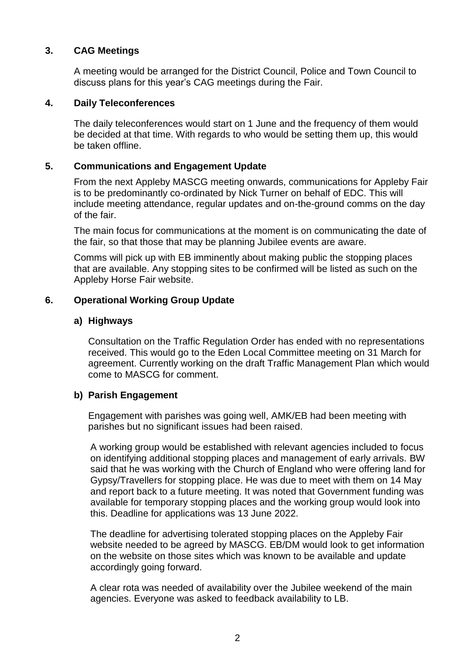# **3. CAG Meetings**

A meeting would be arranged for the District Council, Police and Town Council to discuss plans for this year's CAG meetings during the Fair.

### **4. Daily Teleconferences**

The daily teleconferences would start on 1 June and the frequency of them would be decided at that time. With regards to who would be setting them up, this would be taken offline.

### **5. Communications and Engagement Update**

From the next Appleby MASCG meeting onwards, communications for Appleby Fair is to be predominantly co-ordinated by Nick Turner on behalf of EDC. This will include meeting attendance, regular updates and on-the-ground comms on the day of the fair.

The main focus for communications at the moment is on communicating the date of the fair, so that those that may be planning Jubilee events are aware.

Comms will pick up with EB imminently about making public the stopping places that are available. Any stopping sites to be confirmed will be listed as such on the Appleby Horse Fair website.

### **6. Operational Working Group Update**

#### **a) Highways**

Consultation on the Traffic Regulation Order has ended with no representations received. This would go to the Eden Local Committee meeting on 31 March for agreement. Currently working on the draft Traffic Management Plan which would come to MASCG for comment.

#### **b) Parish Engagement**

Engagement with parishes was going well, AMK/EB had been meeting with parishes but no significant issues had been raised.

A working group would be established with relevant agencies included to focus on identifying additional stopping places and management of early arrivals. BW said that he was working with the Church of England who were offering land for Gypsy/Travellers for stopping place. He was due to meet with them on 14 May and report back to a future meeting. It was noted that Government funding was available for temporary stopping places and the working group would look into this. Deadline for applications was 13 June 2022.

The deadline for advertising tolerated stopping places on the Appleby Fair website needed to be agreed by MASCG. EB/DM would look to get information on the website on those sites which was known to be available and update accordingly going forward.

A clear rota was needed of availability over the Jubilee weekend of the main agencies. Everyone was asked to feedback availability to LB.